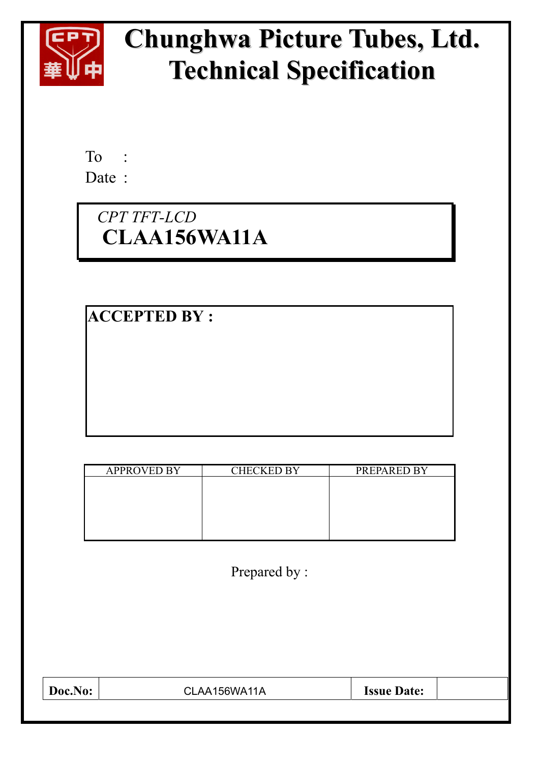

# **Chunghwa Picture Tubes, Ltd. Technical Specification**

To : Date :

## *CPT TFT-LCD* **CLAA156WA11A**

**ACCEPTED BY :** 

| <b>APPROVED BY</b> | <b>CHECKED BY</b> | PREPARED BY |
|--------------------|-------------------|-------------|
|                    |                   |             |
|                    |                   |             |
|                    |                   |             |
|                    |                   |             |
|                    |                   |             |

Prepared by :

| Doc.No: | CLAA156WA11A | <b>Issue Date:</b> |  |
|---------|--------------|--------------------|--|
|         |              |                    |  |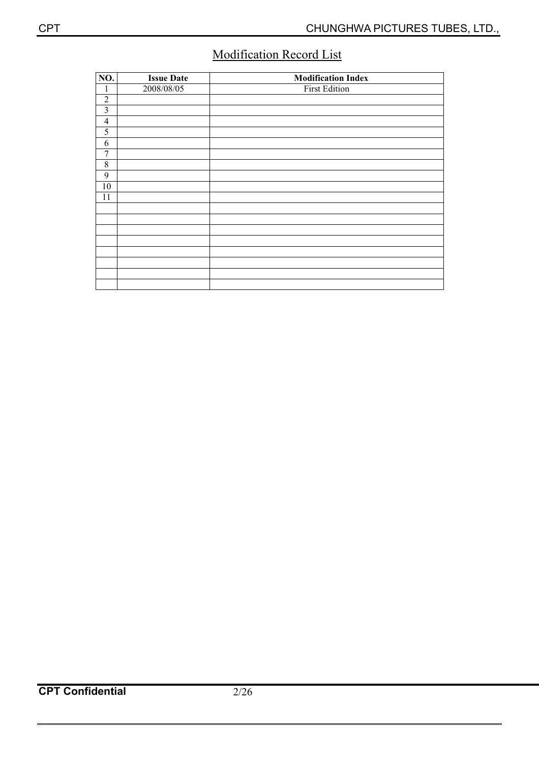### Modification Record List

| NO.            | <b>Issue Date</b> | <b>Modification Index</b> |
|----------------|-------------------|---------------------------|
| 1              | 2008/08/05        | <b>First Edition</b>      |
| $\overline{2}$ |                   |                           |
| 3              |                   |                           |
| $\overline{4}$ |                   |                           |
| 5              |                   |                           |
| 6              |                   |                           |
| 7              |                   |                           |
| $\,$ 8 $\,$    |                   |                           |
| 9              |                   |                           |
| 10             |                   |                           |
| 11             |                   |                           |
|                |                   |                           |
|                |                   |                           |
|                |                   |                           |
|                |                   |                           |
|                |                   |                           |
|                |                   |                           |
|                |                   |                           |
|                |                   |                           |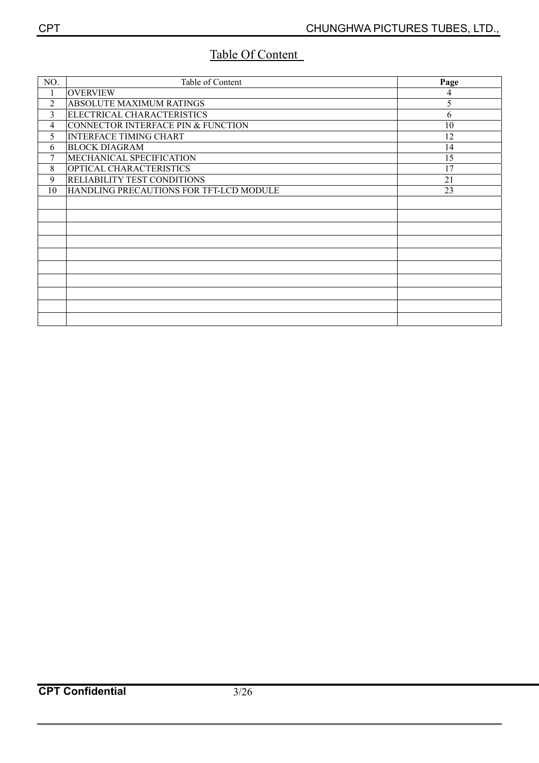### Table Of Content

| NO.            | Table of Content                        | Page |
|----------------|-----------------------------------------|------|
| 1              | <b>OVERVIEW</b>                         | 4    |
| $\overline{2}$ | ABSOLUTE MAXIMUM RATINGS                | 5    |
| 3              | ELECTRICAL CHARACTERISTICS              | 6    |
| 4              | CONNECTOR INTERFACE PIN & FUNCTION      | 10   |
| 5              | <b>INTERFACE TIMING CHART</b>           | 12   |
| 6              | <b>BLOCK DIAGRAM</b>                    | 14   |
| 7              | MECHANICAL SPECIFICATION                | 15   |
| 8              | OPTICAL CHARACTERISTICS                 | 17   |
| 9              | RELIABILITY TEST CONDITIONS             | 21   |
| 10             | HANDLING PRECAUTIONS FOR TFT-LCD MODULE | 23   |
|                |                                         |      |
|                |                                         |      |
|                |                                         |      |
|                |                                         |      |
|                |                                         |      |
|                |                                         |      |
|                |                                         |      |
|                |                                         |      |
|                |                                         |      |
|                |                                         |      |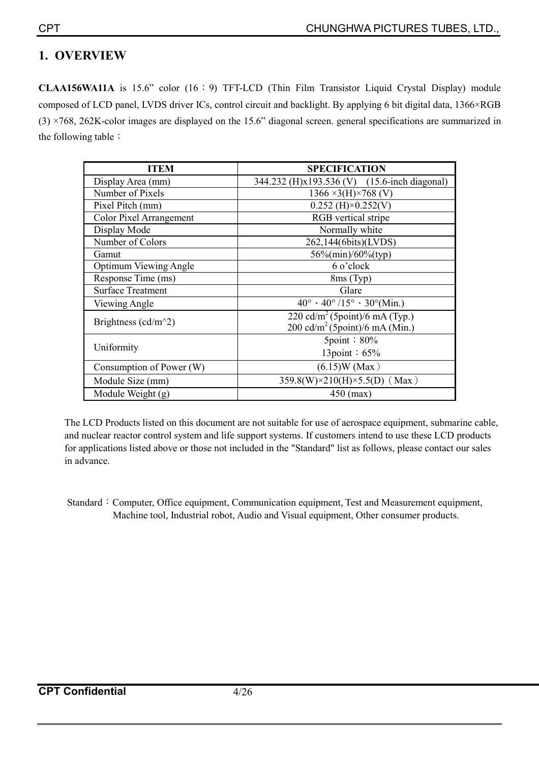### **1. OVERVIEW**

**CLAA156WA11A** is 15.6" color (16:9) TFT-LCD (Thin Film Transistor Liquid Crystal Display) module composed of LCD panel, LVDS driver ICs, control circuit and backlight. By applying 6 bit digital data, 1366×RGB  $(3)$  ×768, 262K-color images are displayed on the 15.6" diagonal screen. general specifications are summarized in the following table  $\colon$ 

| <b>ITEM</b>                    | <b>SPECIFICATION</b>                                             |
|--------------------------------|------------------------------------------------------------------|
| Display Area (mm)              | 344.232 (H)x193.536 (V) (15.6-inch diagonal)                     |
| Number of Pixels               | $1366 \times 3(H) \times 768$ (V)                                |
| Pixel Pitch (mm)               | $0.252$ (H) $\times$ 0.252(V)                                    |
| <b>Color Pixel Arrangement</b> | RGB vertical stripe                                              |
| Display Mode                   | Normally white                                                   |
| Number of Colors               | 262,144(6bits)(LVDS)                                             |
| Gamut                          | 56%(min)/60%(typ)                                                |
| <b>Optimum Viewing Angle</b>   | 6 o'clock                                                        |
| Response Time (ms)             | 8ms (Typ)                                                        |
| <b>Surface Treatment</b>       | Glare                                                            |
| Viewing Angle                  | $40^{\circ} \cdot 40^{\circ}/15^{\circ} \cdot 30^{\circ}$ (Min.) |
| Brightness ( $cd/m^2$ )        | 220 cd/m <sup>2</sup> (5point)/6 mA (Typ.)                       |
|                                | $200 \text{ cd/m}^2$ (5point)/6 mA (Min.)                        |
|                                | $5$ point: $80\%$                                                |
| Uniformity                     | 13point: 65%                                                     |
| Consumption of Power (W)       | $(6.15)W$ (Max)                                                  |
| Module Size (mm)               | 359.8(W)×210(H)×5.5(D) (Max)                                     |
| Module Weight (g)              | $450$ (max)                                                      |

The LCD Products listed on this document are not suitable for use of aerospace equipment, submarine cable, and nuclear reactor control system and life support systems. If customers intend to use these LCD products for applications listed above or those not included in the "Standard" list as follows, please contact our sales in advance.

Standard : Computer, Office equipment, Communication equipment, Test and Measurement equipment, Machine tool, Industrial robot, Audio and Visual equipment, Other consumer products.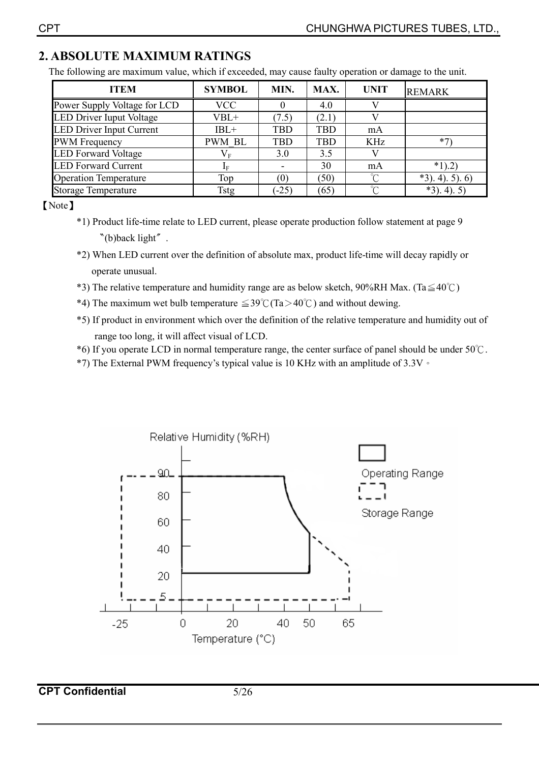### **2. ABSOLUTE MAXIMUM RATINGS**

The following are maximum value, which if exceeded, may cause faulty operation or damage to the unit.

| <b>ITEM</b>                     | <b>SYMBOL</b> | MIN.       | MAX.       | <b>UNIT</b> | <b>REMARK</b>      |
|---------------------------------|---------------|------------|------------|-------------|--------------------|
| Power Supply Voltage for LCD    | <b>VCC</b>    |            | 4.0        |             |                    |
| LED Driver Iuput Voltage        | $VBL+$        | (7.5)      | (2.1)      |             |                    |
| <b>LED Driver Input Current</b> | $IBL+$        | <b>TBD</b> | <b>TBD</b> | mA          |                    |
| <b>PWM</b> Frequency            | <b>PWM BL</b> | <b>TBD</b> | <b>TBD</b> | KHz         |                    |
| <b>LED Forward Voltage</b>      | $\rm V_F$     | 3.0        | 3.5        |             |                    |
| <b>LED Forward Current</b>      | ΙF            |            | 30         | mA          | $*1)$ .2)          |
| <b>Operation Temperature</b>    | Top           | (0)        | (50)       | ∽           | $*3)$ , 4), 5), 6) |
| <b>Storage Temperature</b>      | Tstg          | $(-25)$    | (65)       | ∽           | $*3$ ). 4). 5      |

[Note]

- \*1) Product life-time relate to LED current, please operate production follow statement at page 9  $*(b)$ back light".
- \*2) When LED current over the definition of absolute max, product life-time will decay rapidly or operate unusual.
- \*3) The relative temperature and humidity range are as below sketch, 90%RH Max. (Ta $\leq 40^{\circ}$ C)
- \*4) The maximum wet bulb temperature  $\leq 39^{\circ}$  (Ta > 40°C) and without dewing.
- \*5) If product in environment which over the definition of the relative temperature and humidity out of range too long, it will affect visual of LCD.
- \*6) If you operate LCD in normal temperature range, the center surface of panel should be under  $50^{\circ}$ C.
- \*7) The External PWM frequency's typical value is 10 KHz with an amplitude of 3.3V  $\circ$



**CPT Confidential** 5/26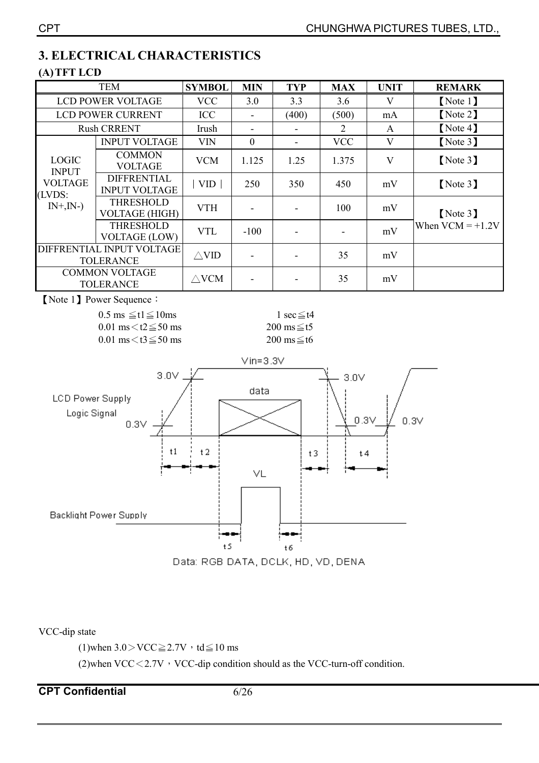### **3. ELECTRICAL CHARACTERISTICS**

### **(A)TFT LCD**

|                                               | <b>TEM</b>                                 |                 | <b>MIN</b>               | <b>TYP</b>     | <b>MAX</b> | <b>UNIT</b> | <b>REMARK</b>      |
|-----------------------------------------------|--------------------------------------------|-----------------|--------------------------|----------------|------------|-------------|--------------------|
|                                               | <b>LCD POWER VOLTAGE</b>                   | <b>VCC</b>      | 3.0                      | 3.3            | 3.6        | V           | [Note 1]           |
|                                               | <b>LCD POWER CURRENT</b>                   | <b>ICC</b>      | $\overline{\phantom{a}}$ | (400)          | (500)      | mA          | [Note 2]           |
|                                               | <b>Rush CRRENT</b>                         | Irush           |                          |                | 2          | A           | [Note 4]           |
|                                               | <b>INPUT VOLTAGE</b>                       | <b>VIN</b>      | $\boldsymbol{0}$         | $\blacksquare$ | <b>VCC</b> | V           | [Note 3]           |
| <b>LOGIC</b><br><b>INPUT</b>                  | <b>COMMON</b><br><b>VOLTAGE</b>            | <b>VCM</b>      | 1.125                    | 1.25           | 1.375      | V           | [Note 3]           |
| <b>VOLTAGE</b><br>(LVDS:                      | <b>DIFFRENTIAL</b><br><b>INPUT VOLTAGE</b> | <b>VID</b>      | 250                      | 350            | 450        | mV          | [Note 3]           |
| $IN+$ , $IN-)$                                | <b>THRESHOLD</b><br><b>VOLTAGE (HIGH)</b>  | <b>VTH</b>      | $\overline{\phantom{a}}$ |                | 100        | mV          | [Note 3]           |
|                                               | <b>THRESHOLD</b><br><b>VOLTAGE (LOW)</b>   | <b>VTL</b>      | $-100$                   |                |            | mV          | When $VCM = +1.2V$ |
| DIFFRENTIAL INPUT VOLTAGE<br><b>TOLERANCE</b> |                                            | $\triangle$ VID | $\blacksquare$           |                | 35         | mV          |                    |
| <b>COMMON VOLTAGE</b><br><b>TOLERANCE</b>     |                                            | $\triangle$ VCM |                          |                | 35         | mV          |                    |
|                                               |                                            |                 |                          |                |            |             |                    |

**[Note 1] Power Sequence:** 

 $0.5 \text{ ms } \leq t1 \leq 10 \text{ ms}$  1 sec  $\leq t4$  $0.01 \text{ ms} \leq t2 \leq 50 \text{ ms}$  200 ms  $\leq t5$  $0.01 \text{ ms} \leq t3 \leq 50 \text{ ms}$  200 ms  $\leq t6$ 



VCC-dip state

(1)when  $3.0 >$ VCC $\geq 2.7V$ , td $\leq 10$  ms

(2)when VCC $<$ 2.7V  $\cdot$  VCC-dip condition should as the VCC-turn-off condition.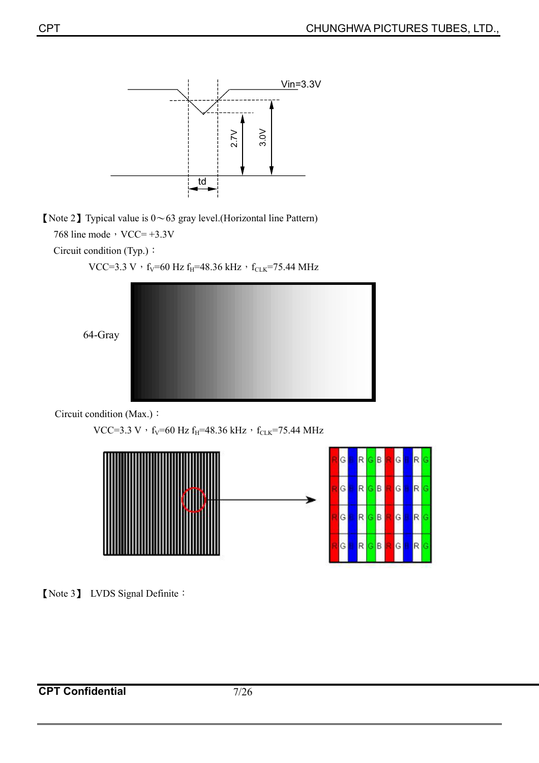

[Note 2] Typical value is  $0 \sim 63$  gray level.(Horizontal line Pattern)

768 line mode,  $VCC = +3.3V$ 

Circuit condition (Typ.):

VCC=3.3 V  $^{\rm \prime}$  f<sub>V</sub>=60 Hz f<sub>H</sub>=48.36 kHz  $^{\rm \prime}$  f<sub>CLK</sub>=75.44 MHz



Circuit condition (Max.):

```
VCC=3.3 V \cdot f<sub>V</sub>=60 Hz f<sub>H</sub>=48.36 kHz \cdot f<sub>CLK</sub>=75.44 MHz
```


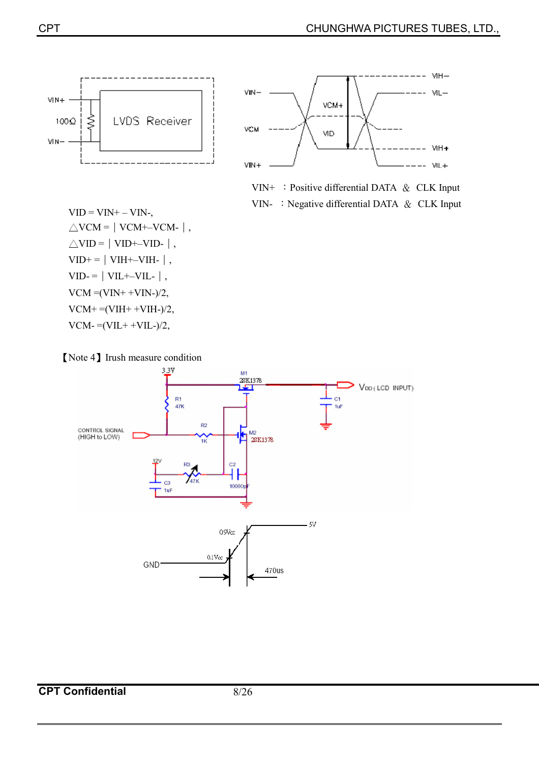





VIN- : Negative differential DATA  $&$  CLK Input

 $VID = VIN + - VIN \triangle$ VCM =  $\vert$  VCM +–VCM -  $\vert$ ,  $\triangle$ VID =  $|$  VID+–VID- $|$ ,  $VID+=|VIH+–VIH-|$ ,  $VID = |VIL+-VIL-|$ ,  $VCM = (VIN+ +VIN-)/2$ ,  $VCM+ = (VIH+ +VIH-)/2,$  $VCM = (VIL + +VIL-)/2,$ 

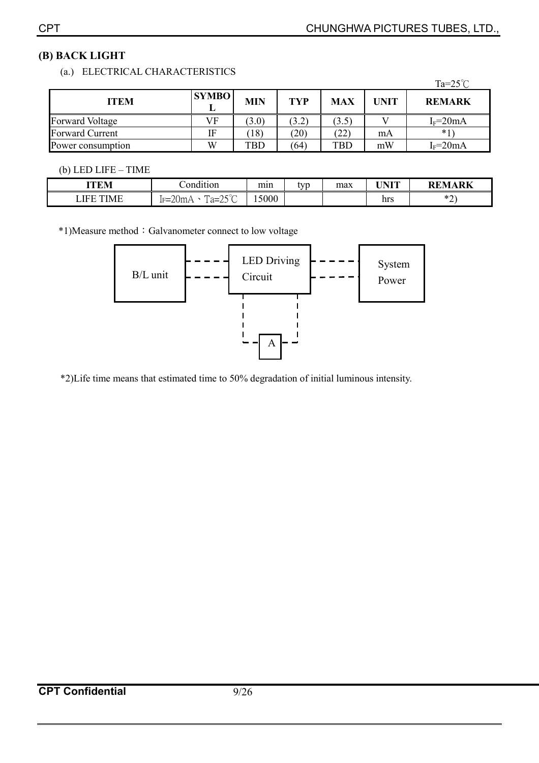### **(B) BACK LIGHT**

### (a.) ELECTRICAL CHARACTERISTICS

|                        |              |            |            |            |             | Ta= $25^{\circ}$ C |
|------------------------|--------------|------------|------------|------------|-------------|--------------------|
| <b>ITEM</b>            | <b>SYMBO</b> | <b>MIN</b> | <b>TYP</b> | <b>MAX</b> | <b>UNIT</b> | <b>REMARK</b>      |
| Forward Voltage        | VF           | (3.0)      | (3.2)      | (3.5)      |             | $I_F = 20mA$       |
| <b>Forward Current</b> | IF           | (18)       | (20)       | $^{(22)}$  | mA          | $*1$               |
| Power consumption      | W            | <b>TBD</b> | (64)       | <b>TBD</b> | mW          | $I_F = 20mA$       |

#### (b) LED LIFE – TIME

| <b>ITEM</b>                     | . .<br>`ondition                                                                               |       | tvn | max | IINIT              | APV<br>DEM            |
|---------------------------------|------------------------------------------------------------------------------------------------|-------|-----|-----|--------------------|-----------------------|
| <b>IEE</b><br>$\sqrt{2}$<br>N/1 | $\sim$ $\sim$<br>$\Omega_{\rm max}$<br><b>TIM</b><br>$\cap -$<br>ルーム<br>1 u-<br>. ג ג ג<br>. . | 15000 |     |     | $\mathbf{h}$<br>шэ | $\sim$<br>$\sim$<br>∼ |

\*1)Measure method: Galvanometer connect to low voltage



\*2)Life time means that estimated time to 50% degradation of initial luminous intensity.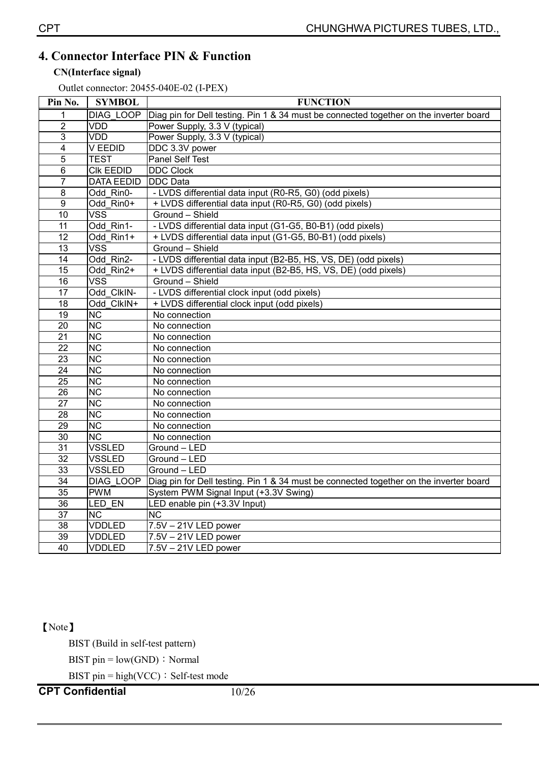### **4. Connector Interface PIN & Function**

#### **CN(Interface signal)**

Outlet connector: 20455-040E-02 (I-PEX)

| Pin No.                 | <b>SYMBOL</b>          | <b>FUNCTION</b>                                                                        |
|-------------------------|------------------------|----------------------------------------------------------------------------------------|
| 1                       | DIAG LOOP              | Diag pin for Dell testing. Pin 1 & 34 must be connected together on the inverter board |
| $\overline{2}$          | VDD                    | Power Supply, 3.3 V (typical)                                                          |
| $\overline{3}$          | VDD                    | Power Supply, 3.3 V (typical)                                                          |
| $\overline{\mathbf{4}}$ | V EEDID                | DDC 3.3V power                                                                         |
| $\overline{5}$          | <b>TEST</b>            | Panel Self Test                                                                        |
| $\overline{6}$          | <b>CIK EEDID</b>       | <b>DDC Clock</b>                                                                       |
| $\overline{7}$          | <b>DATA EEDID</b>      | <b>DDC</b> Data                                                                        |
| $\overline{8}$          | Odd Rin0-              | - LVDS differential data input (R0-R5, G0) (odd pixels)                                |
| $\overline{9}$          | Odd Rin0+              | + LVDS differential data input (R0-R5, G0) (odd pixels)                                |
| 10                      | <b>VSS</b>             | Ground - Shield                                                                        |
| 11                      | Odd Rin1-              | - LVDS differential data input (G1-G5, B0-B1) (odd pixels)                             |
| $\overline{12}$         | Odd Rin1+              | + LVDS differential data input (G1-G5, B0-B1) (odd pixels)                             |
| 13                      | <b>VSS</b>             | Ground - Shield                                                                        |
| $\overline{14}$         | Odd Rin2-              | - LVDS differential data input (B2-B5, HS, VS, DE) (odd pixels)                        |
| $\overline{15}$         | Odd Rin2+              | + LVDS differential data input (B2-B5, HS, VS, DE) (odd pixels)                        |
| 16                      | <b>VSS</b>             | Ground - Shield                                                                        |
| $\overline{17}$         | Odd ClkIN-             | - LVDS differential clock input (odd pixels)                                           |
| $\overline{18}$         | Odd ClkIN+             | + LVDS differential clock input (odd pixels)                                           |
| $\overline{19}$         | $\overline{\text{NC}}$ | No connection                                                                          |
| $\overline{20}$         | $\overline{\text{NC}}$ | No connection                                                                          |
| $\overline{21}$         | <b>NC</b>              | No connection                                                                          |
| 22                      | $\overline{\text{NC}}$ | No connection                                                                          |
| 23                      | $\overline{\text{NC}}$ | No connection                                                                          |
| $\overline{24}$         | NC                     | No connection                                                                          |
| $\overline{25}$         | $\overline{\text{NC}}$ | No connection                                                                          |
| $\overline{26}$         | NC                     | No connection                                                                          |
| $\overline{27}$         | <b>NC</b>              | No connection                                                                          |
| 28                      | $\overline{\text{NC}}$ | No connection                                                                          |
| $\overline{29}$         | <b>NC</b>              | No connection                                                                          |
| 30                      | NC                     | No connection                                                                          |
| $\overline{31}$         | <b>VSSLED</b>          | Ground - LED                                                                           |
| $\overline{32}$         | <b>VSSLED</b>          | Ground - LED                                                                           |
| 33                      | <b>VSSLED</b>          | $Ground - LED$                                                                         |
| $\overline{34}$         | <b>DIAG LOOP</b>       | Diag pin for Dell testing. Pin 1 & 34 must be connected together on the inverter board |
| $\overline{35}$         | <b>PWM</b>             | System PWM Signal Input (+3.3V Swing)                                                  |
| 36                      | LED EN                 | LED enable pin (+3.3V Input)                                                           |
| $\overline{37}$         | NC                     | $\overline{\text{NC}}$                                                                 |
| 38                      | <b>VDDLED</b>          | $7.5V - 21V$ LED power                                                                 |
| 39                      | <b>VDDLED</b>          | 7.5V - 21V LED power                                                                   |
| 40                      | <b>VDDLED</b>          | $7.5V - 21V$ LED power                                                                 |

### [Note]

BIST (Build in self-test pattern)

BIST pin =  $low(GND)$ : Normal

BIST pin = high(VCC)  $\div$  Self-test mode

**CPT Confidential** 10/26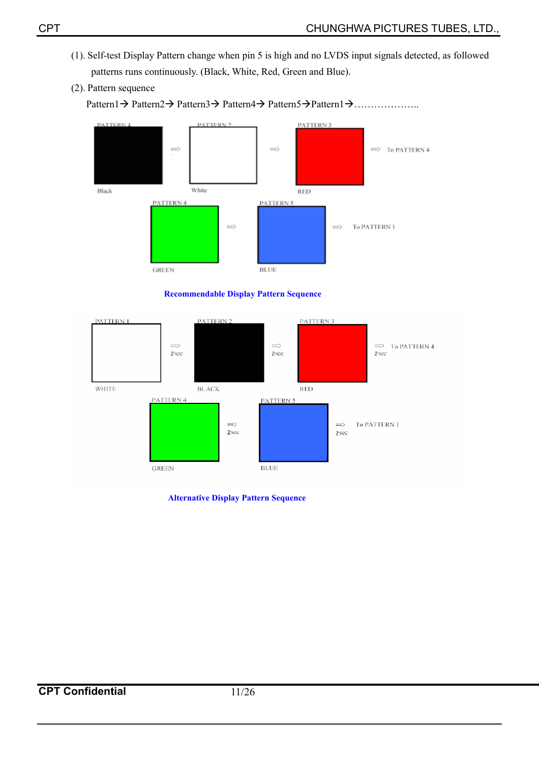- (1). Self-test Display Pattern change when pin 5 is high and no LVDS input signals detected, as followed patterns runs continuously. (Black, White, Red, Green and Blue).
- (2). Pattern sequence







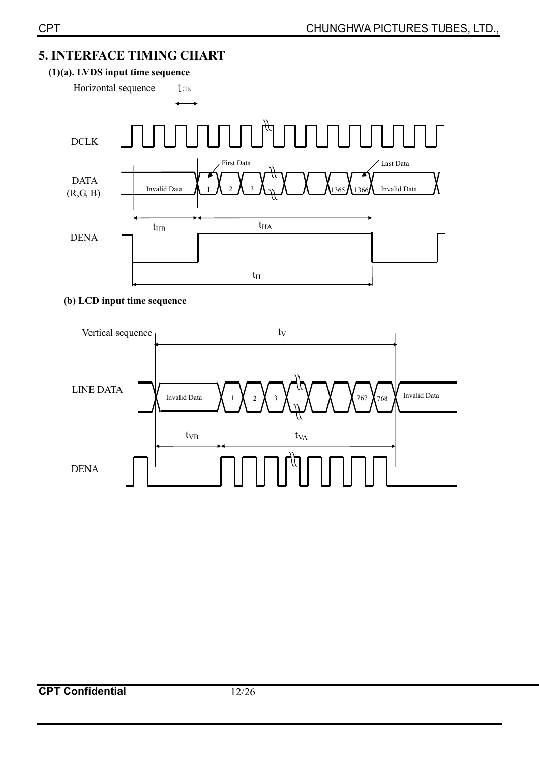### **5. INTERFACE TIMING CHART**



#### **(b) LCD input time sequence**

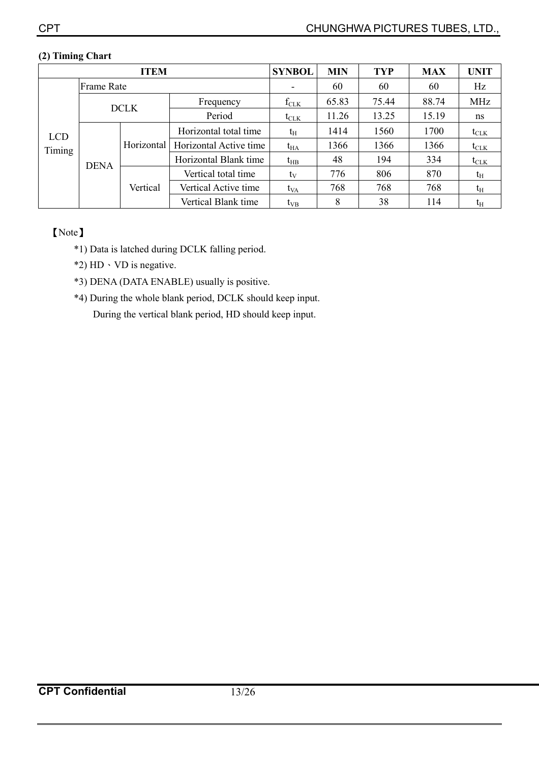| <b>ITEM</b> |                   |                        |                        | <b>SYNBOL</b>    | <b>MIN</b> | <b>TYP</b> | <b>MAX</b> | <b>UNIT</b>      |
|-------------|-------------------|------------------------|------------------------|------------------|------------|------------|------------|------------------|
|             | <b>Frame Rate</b> |                        |                        |                  | 60         | 60         | 60         | Hz               |
|             |                   | <b>DCLK</b>            | Frequency              | $f_{CLK}$        | 65.83      | 75.44      | 88.74      | MHz              |
|             |                   |                        | Period                 | $t_{\text{CLK}}$ | 11.26      | 13.25      | 15.19      | ns               |
| <b>LCD</b>  |                   |                        | Horizontal total time  | $t_{\rm H}$      | 1414       | 1560       | 1700       | $t_{\text{CLK}}$ |
| Timing      |                   | Horizontal<br>Vertical | Horizontal Active time | $t_{HA}$         | 1366       | 1366       | 1366       | $t_{\text{CLK}}$ |
|             | <b>DENA</b>       |                        | Horizontal Blank time  | $t_{HB}$         | 48         | 194        | 334        | $t_{CLK}$        |
|             |                   |                        | Vertical total time    | $t_{V}$          | 776        | 806        | 870        | $t_{\rm H}$      |
|             |                   |                        | Vertical Active time   | t <sub>VA</sub>  | 768        | 768        | 768        | $t_{\rm H}$      |
|             |                   |                        | Vertical Blank time    | $t_{VB}$         | 8          | 38         | 114        | $t_{\rm H}$      |

#### **(2) Timing Chart**

### [Note]

- \*1) Data is latched during DCLK falling period.
- \*2)  $HD \cdot VD$  is negative.
- \*3) DENA (DATA ENABLE) usually is positive.
- \*4) During the whole blank period, DCLK should keep input. During the vertical blank period, HD should keep input.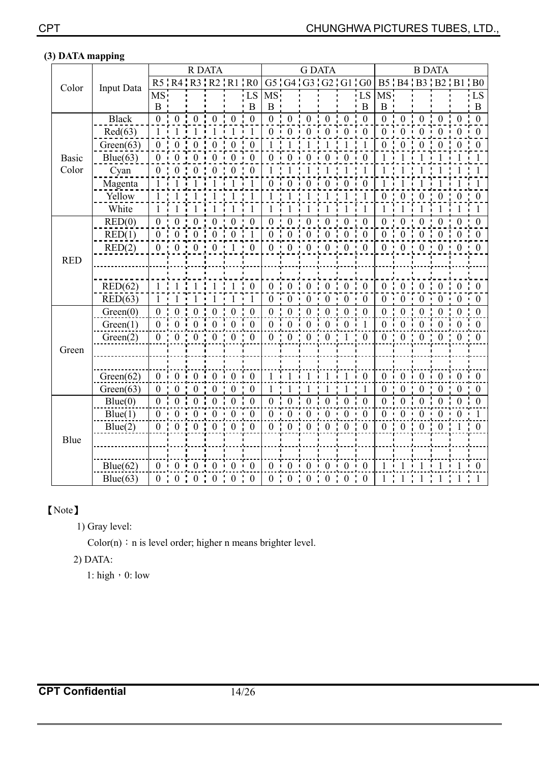|              |                   |                  |                | <b>R DATA</b>           |                  |                               |                             |                | <b>G DATA</b>                             |                  |                         |                                |                 | <b>B DATA</b>                   |                               |                |                                    |                  |                  |
|--------------|-------------------|------------------|----------------|-------------------------|------------------|-------------------------------|-----------------------------|----------------|-------------------------------------------|------------------|-------------------------|--------------------------------|-----------------|---------------------------------|-------------------------------|----------------|------------------------------------|------------------|------------------|
| Color        | <b>Input Data</b> |                  |                |                         |                  |                               | R5   R4   R3   R2   R1   R0 |                |                                           |                  |                         | G5 G4 G3 G2 G1 G0              |                 |                                 |                               |                | B5 'B4 'B3 'B2 'B1 'B0             |                  |                  |
|              |                   | MS:              |                |                         |                  |                               | LS                          | MS.            |                                           |                  |                         |                                | LS              | $\overline{\text{MS}}$ .        |                               |                |                                    |                  | LS               |
|              |                   | $\mathbf{B}$     |                |                         |                  |                               | B                           | B              |                                           |                  |                         |                                | B               | $B$ .                           |                               |                |                                    |                  | B                |
|              | <b>Black</b>      | $\overline{0}$   | $\mathbf{0}$   | $\overline{0}$          | $\mathbf{0}$     | $\bf{0}$                      | $\frac{1}{2}$ 0             |                | $0 \div 0$                                | $\mathbf{0}$     | $\mathbf{0}$            | $0 \div 0$                     |                 | $\overline{0}$ $\overline{0}$ 0 |                               | $\overline{0}$ | $\cdot$ 0                          | $\theta$         | $\boldsymbol{0}$ |
|              | Red(63)           | $\mathbf{1}$     | $\mathbf{1}$   | $1 - i$                 | $\mathbf{1}$     | $\overline{1}$                | $\overline{1}$              |                |                                           |                  | $0 \t 0 \t 0 \t 0 \t 0$ |                                | $\theta$        |                                 |                               |                | $0 \quad 0 \quad 0 \quad 0$        | $\Omega$         | $\cdot$ 0        |
|              | Green(63)         | $\Omega$         |                | $\mathbf{0}$            | $\overline{0}$   | $\mathbf{0}$                  | $\overline{0}$              |                |                                           |                  |                         |                                |                 | $\overline{0}$ .                | $\mathbf{0}$                  | $\mathbf{0}$   | $\overline{0}$                     |                  | 0                |
| <b>Basic</b> | Blue(63)          |                  |                | $\theta$                | $\theta$         | $\theta$                      | - 0                         |                |                                           |                  |                         |                                | $\theta$        |                                 |                               |                |                                    |                  |                  |
| Color        | Cyan              | $\overline{0}$   | $\mathbf{0}$   | $\boldsymbol{0}$        | $\mathbf{0}$     | $\overline{0}$                | $\overline{0}$              |                |                                           |                  |                         |                                |                 |                                 |                               |                |                                    |                  |                  |
|              | Magenta           | $\mathbf{1}$     | $1 - i$        | $\overline{1}$          | $\overline{1}$   | $\overline{1}$                | $\frac{1}{1}$               |                | $0 \t0$                                   | $\Omega$         | $\theta$                | $\overline{0}$                 | $\theta$        |                                 | $1 \cdot 1$                   | $1 - i$        | $\mathbf{1}$                       | $\overline{1}$   |                  |
|              | Yellow            |                  |                | $\overline{1}$          | 1                | $\cdot$ 1                     | - 1                         |                | $\overline{1}$                            |                  | $\overline{1}$          | - 1                            |                 |                                 | $0 \quad 0$                   | $0 \quad 0$    |                                    | $\boldsymbol{0}$ | $\colon 0$       |
|              | White             | 1                |                |                         |                  | $\mathbf{1}$                  | $\overline{1}$              | $\mathbf{1}$   |                                           |                  |                         | 1                              |                 | $1 - i$                         | $\mathbf{1}$                  | 1              | 1                                  |                  | -1               |
|              | RED(0)            | $\overline{0}$   | 0:             | $\overline{0}$          | $\mathbf{0}$     | $\mathbf{0}$                  | $\cdot 0$                   | 0 <sup>1</sup> | $\mathbf{0}$                              | $\boldsymbol{0}$ | $\mathbf{0}$            | $\mathbf{0}$<br>$\blacksquare$ | $\cdot$ 0       | 0 <sup>1</sup>                  | $\mathbf{0}$                  | $\mathbf{0}$   | $\boldsymbol{0}$<br>$\mathbf{H}$ . | $\overline{0}$   | $\mathbf{0}$     |
|              | RED(1)            | $\theta$         | $\overline{0}$ | $\overline{0}$          | $\mathbf{0}$     | $\frac{1}{2}$ 0 $\frac{1}{2}$ | $\overline{1}$              | 0 <sup>1</sup> | $\begin{smallmatrix}0&1\end{smallmatrix}$ | $\overline{0}$   | $\overline{0}$          | $\overline{0}$                 | $\theta$        |                                 | $0 \t 0 \t 0 \t 0$            |                |                                    | $\theta$         | $\overline{0}$   |
|              | RED(2)            | $\overline{0}$   |                | $0 \t 0 \t 0 \t 1 \t 0$ |                  |                               |                             |                |                                           |                  | $0 \t 0 \t 0 \t 0 \t 0$ |                                | $\theta$        |                                 |                               |                | $0 \t 0 \t 0 \t 0$                 | $\overline{0}$   | $\mathbf{0}$     |
| <b>RED</b>   |                   |                  |                |                         |                  |                               |                             |                |                                           |                  |                         |                                |                 |                                 |                               |                |                                    |                  |                  |
|              |                   |                  |                |                         |                  |                               |                             |                |                                           |                  |                         |                                |                 |                                 |                               |                |                                    |                  |                  |
|              | RED(62)           | $\mathbf{1}$     |                |                         |                  |                               | $\overline{0}$              |                | $0 \t0$                                   | $\boldsymbol{0}$ | $\overline{0}$          | $\boldsymbol{0}$               | $\overline{0}$  |                                 | $0 \quad 0 \quad 0$           |                | $\mathbf{0}$                       | $\mathbf{0}$     | $\theta$         |
|              | RED(63)           |                  |                |                         |                  |                               |                             |                | $0 \cdot 0$                               | $\Omega$         | $\Omega$                | $\theta$                       | $\theta$        |                                 | $0 \quad 0$                   | $\Omega$       | $\theta$                           | $\Omega$         | $\theta$         |
|              | Green(0)          | $\overline{0}$   | 0:             | $\mathbf{0}$            | $\mathbf{0}$     | $\overline{0}$                | $\overline{0}$              | 0:             | $\overline{0}$                            | $\boldsymbol{0}$ | $\overline{0}$          | $\mathbf{0}$                   | $\overline{0}$  |                                 | $0 \t0$                       | 0:             | $\mathbf{0}$                       | $\theta$         | $\theta$         |
|              | Green(1)          |                  | $\mathbf{0}$   | $\mathbf{0}$            | $\mathbf{0}$     | $\mathbf{0}$                  | $\vdots$ 0                  | 0 <sub>1</sub> | $\theta$                                  | $\overline{0}$   | $\overline{0}$          | $\overline{0}$                 |                 |                                 | $0 \t0 \t0$                   |                | $\mathbf{0}$                       | $\Omega$         |                  |
|              | Green(2)          | $\overline{0}$   | $\theta$       | $\theta$                | $\theta$         | $\Omega$                      | $\theta$                    | 0 <sup>1</sup> | $\Omega$                                  | $\theta$         | $\theta$                |                                | $\Omega$        |                                 | $0 \t 0 \t 0$                 |                | $\theta$                           | $\Omega$         | $\Omega$         |
| Green        |                   |                  |                |                         |                  |                               |                             |                |                                           |                  |                         |                                |                 |                                 |                               |                |                                    |                  |                  |
|              |                   |                  |                |                         |                  |                               |                             |                |                                           |                  |                         |                                |                 |                                 |                               |                |                                    |                  |                  |
|              | Green(62)         | $\overline{0}$   | 0 <sup>1</sup> | $\bf{0}$                |                  | $0 \quad 0 \quad 0$           |                             | $1 - i$        | $\overline{1}$                            |                  | $\ddot{1}$              |                                | $\frac{1}{2}$ 0 |                                 | $0 \t0 \t0 \t0$               |                |                                    | $0$ i $0$        |                  |
|              | Green(63)         | $\boldsymbol{0}$ | $\theta$       | $\Omega$                | $\Omega$         | $\Omega$                      | $\mathbf{0}$                | 1              |                                           |                  |                         |                                |                 | $\theta$                        | $\Omega$                      | $\Omega$       | $\Omega$                           | $\Omega$         | $\Omega$         |
|              | Blue(0)           | $\overline{0}$   | $\overline{0}$ | $\mathbf{0}$            | $\boldsymbol{0}$ |                               | $0 \tcdot 0$                |                | $0 \t 0$                                  | $\boldsymbol{0}$ | $\overline{0}$          | $\overline{0}$                 | $\overline{0}$  |                                 | $\overline{0}$ $\overline{0}$ | $\mathbf{0}$   | $\mathbf{0}$                       | $\theta$         | $\theta$         |
|              | Blue(1)           |                  | $\mathbf{0}$   | $0$ i                   | $\mathbf{0}$     |                               | $0 \cdot 0$                 |                | $0 \t 0$                                  | $\theta$         | $\Omega$                | $\mathbf{0}$                   | $\theta$        |                                 | $0 \t0 \t0$                   |                | $0 \cdot 0$                        |                  |                  |
| Blue         | Blue(2)           |                  |                | 0:0:0:0:0:0:0           |                  |                               |                             |                | $0 \quad 0 \quad 0$                       |                  |                         | $0 \quad 0 \quad 0$            |                 |                                 |                               |                | 0:0:0:0:1:0                        |                  |                  |
|              |                   |                  |                |                         |                  |                               |                             |                |                                           |                  |                         |                                |                 |                                 |                               |                |                                    |                  |                  |
|              |                   |                  |                |                         |                  |                               |                             |                |                                           |                  |                         |                                |                 |                                 |                               |                |                                    |                  |                  |
|              | Blue(62)          |                  | $0 \cdot 0$    | $0$ i                   | $\bf{0}$         | $0 \quad 0$                   |                             |                |                                           | $0 \t 0 \t 0$    | $\overline{0}$          | $\overline{0}$                 | $\overline{0}$  |                                 | $1 \t1 \t1$                   |                | $\overline{1}$                     |                  |                  |
|              | Blue(63)          |                  | $0 \t 0$       | $0 \div 0$              |                  | $0 \t 0$                      |                             |                | $0 \t 0 \t 0$                             |                  | $\boldsymbol{0}$        | $0 \quad 0$                    |                 |                                 | $1 + 1 + 1 +$                 |                |                                    |                  |                  |

### **(3) DATA mapping**

### [Note]

1) Gray level:

 $Color(n) : n$  is level order; higher n means brighter level.

### 2) DATA:

1: high  $\cdot$  0: low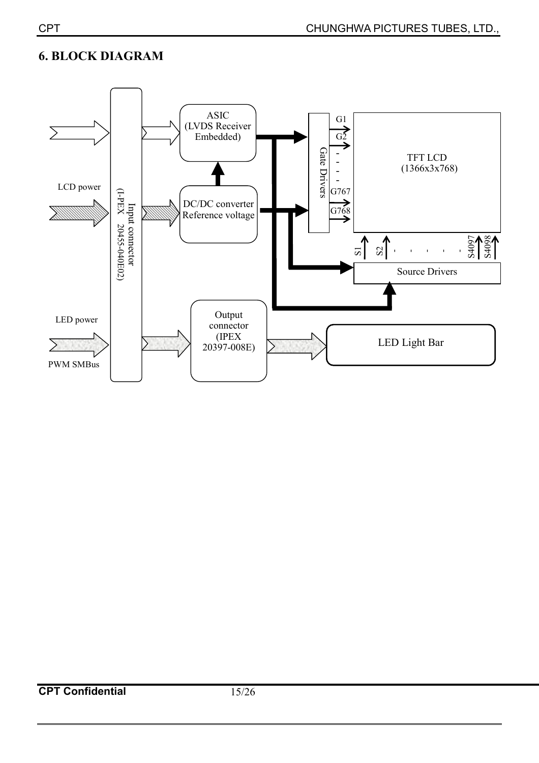### **6. BLOCK DIAGRAM**

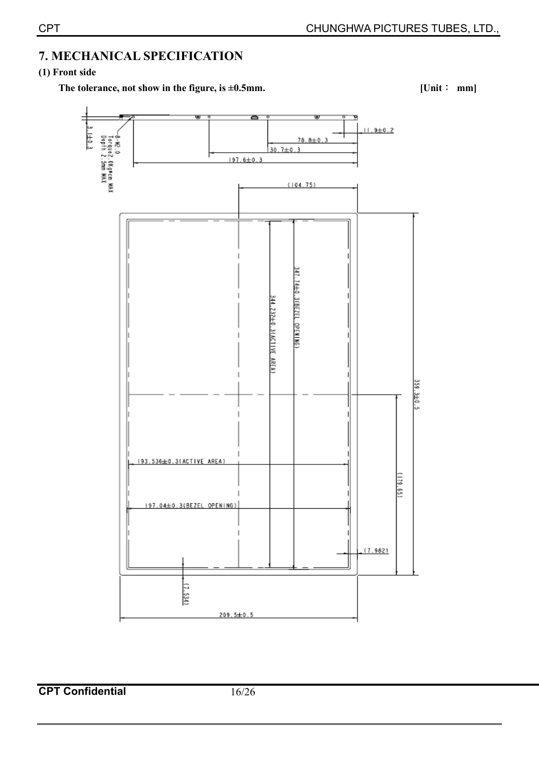### **7. MECHANICAL SPECIFICATION**

#### **(1) Front side**

The tolerance, not show in the figure, is ±0.5mm. [Unit ↓ mm]



**CPT Confidential** 16/26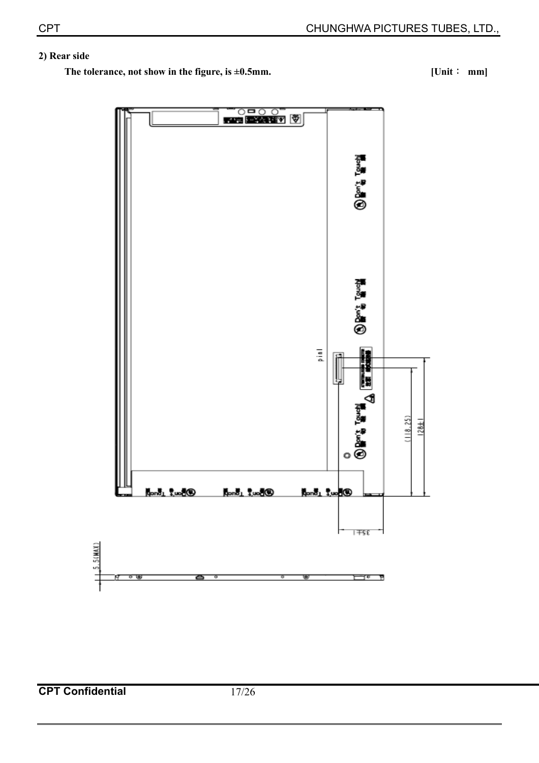### **2) Rear side**

**The tolerance, not show in the figure, is ±0.5mm.** [Unit ∴ mm]



**CPT Confidential** 17/26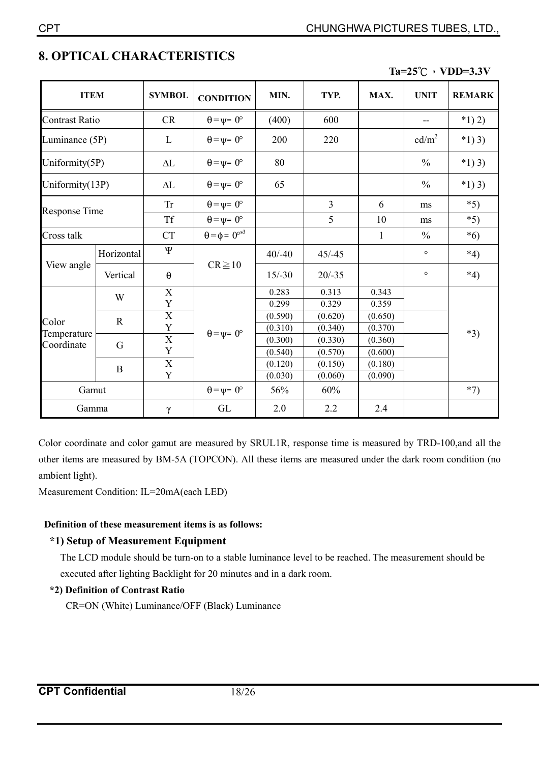|                                    |             |                       |                                |          |                |              | $1a \neq 0$ ( $1D D \neq 0$ |               |
|------------------------------------|-------------|-----------------------|--------------------------------|----------|----------------|--------------|-----------------------------|---------------|
| <b>ITEM</b>                        |             | <b>SYMBOL</b>         | <b>CONDITION</b>               | MIN.     | TYP.           | MAX.         | <b>UNIT</b>                 | <b>REMARK</b> |
| <b>Contrast Ratio</b>              |             | <b>CR</b>             | $\theta = \psi = 0^{\circ}$    | (400)    | 600            |              |                             | $*1) 2)$      |
| Luminance (5P)                     |             | L                     | $\theta = \psi = 0^{\circ}$    | 200      | 220            |              | cd/m <sup>2</sup>           | $*1)3)$       |
| Uniformity(5P)                     |             | $\Delta L$            | $\theta = \psi = 0^{\circ}$    | 80       |                |              | $\frac{0}{0}$               | $*1)$ 3)      |
| Uniformity(13P)                    |             | $\Delta L$            | $\theta = \psi = 0^{\circ}$    | 65       |                |              | $\frac{0}{0}$               | $*1)$ 3)      |
| <b>Response Time</b>               |             | <b>Tr</b>             | $\theta = \psi = 0^{\circ}$    |          | $\overline{3}$ | 6            | ms                          | $*5)$         |
|                                    |             | <b>Tf</b>             | $\theta = \psi = 0^{\circ}$    |          | 5              | 10           | ms                          | $*5)$         |
| Cross talk                         |             | <b>CT</b>             | $\theta = \phi = 0^{\circ *3}$ |          |                | $\mathbf{1}$ | $\frac{0}{0}$               | $*6)$         |
| View angle                         | Horizontal  | $\overline{\Psi}$     | $CR \ge 10$                    | $40/-40$ | $45/-45$       |              | $\circ$                     | $*4)$         |
|                                    | Vertical    | $\boldsymbol{\theta}$ |                                | $15/-30$ | $20/-35$       |              | $\circ$                     | $*4)$         |
| Color<br>Temperature<br>Coordinate | W           | $\mathbf X$           |                                | 0.283    | 0.313          | 0.343        |                             |               |
|                                    |             | Y                     |                                | 0.299    | 0.329          | 0.359        |                             |               |
|                                    | $\mathbf R$ | $\mathbf X$           |                                | (0.590)  | (0.620)        | (0.650)      |                             |               |
|                                    |             | $\mathbf Y$           | $\theta = \psi = 0^{\circ}$    | (0.310)  | (0.340)        | (0.370)      |                             | $*3)$         |
|                                    | G           | $\overline{X}$        |                                | (0.300)  | (0.330)        | (0.360)      |                             |               |
|                                    |             | Y                     |                                | (0.540)  | (0.570)        | (0.600)      |                             |               |
|                                    | B           | X                     |                                | (0.120)  | (0.150)        | (0.180)      |                             |               |
|                                    |             | Y                     |                                | (0.030)  | (0.060)        | (0.090)      |                             |               |
| Gamut                              |             |                       | $\theta = \psi = 0^{\circ}$    | 56%      | 60%            |              |                             | $*7)$         |
| Gamma                              |             | $\gamma$              | GL                             | 2.0      | 2.2            | 2.4          |                             |               |

### **8. OPTICAL CHARACTERISTICS**

 $Ta=25^\circ C \cdot VDD=3.3V$ 

Color coordinate and color gamut are measured by SRUL1R, response time is measured by TRD-100,and all the other items are measured by BM-5A (TOPCON). All these items are measured under the dark room condition (no ambient light).

Measurement Condition: IL=20mA(each LED)

### **Definition of these measurement items is as follows:**

### **\*1) Setup of Measurement Equipment**

The LCD module should be turn-on to a stable luminance level to be reached. The measurement should be executed after lighting Backlight for 20 minutes and in a dark room.

#### **\*2) Definition of Contrast Ratio**

CR=ON (White) Luminance/OFF (Black) Luminance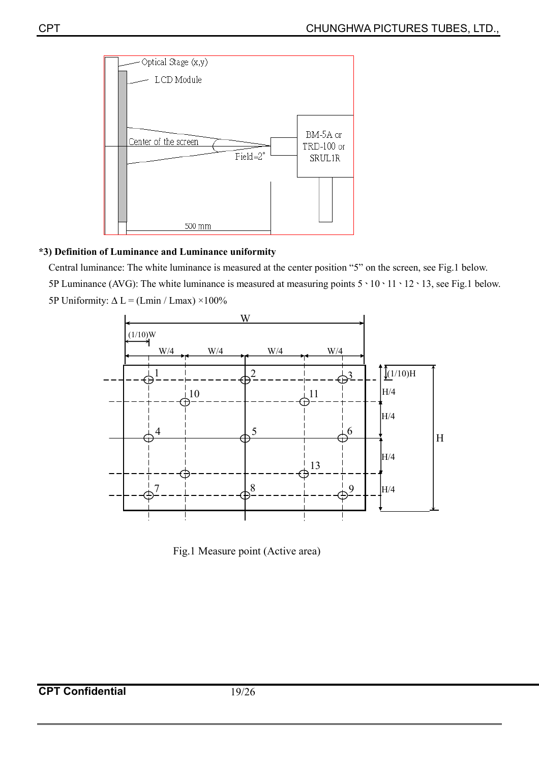

#### **\*3) Definition of Luminance and Luminance uniformity**

Central luminance: The white luminance is measured at the center position "5" on the screen, see Fig.1 below. 5P Luminance (AVG): The white luminance is measured at measuring points  $5 \cdot 10 \cdot 11 \cdot 12 \cdot 13$ , see Fig.1 below. 5P Uniformity:  $\Delta L = (Lmin / Lmax) \times 100\%$ 



Fig.1 Measure point (Active area)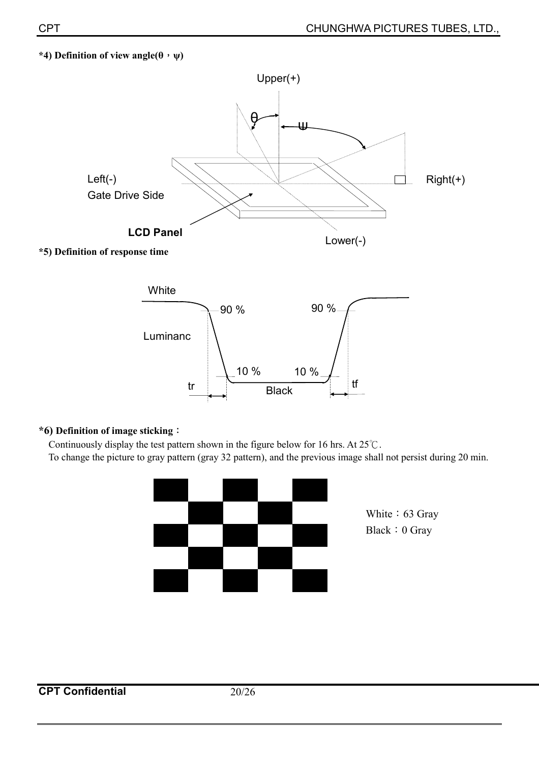#### $*$ 4) Definition of view angle( $\theta$ ,  $\psi$ )



**\*5) Definition of response time** 



#### **\*6) Definition of image sticking:**

Continuously display the test pattern shown in the figure below for 16 hrs. At  $25^{\circ}$ C. To change the picture to gray pattern (gray 32 pattern), and the previous image shall not persist during 20 min.



White: 63 Gray Black: 0 Gray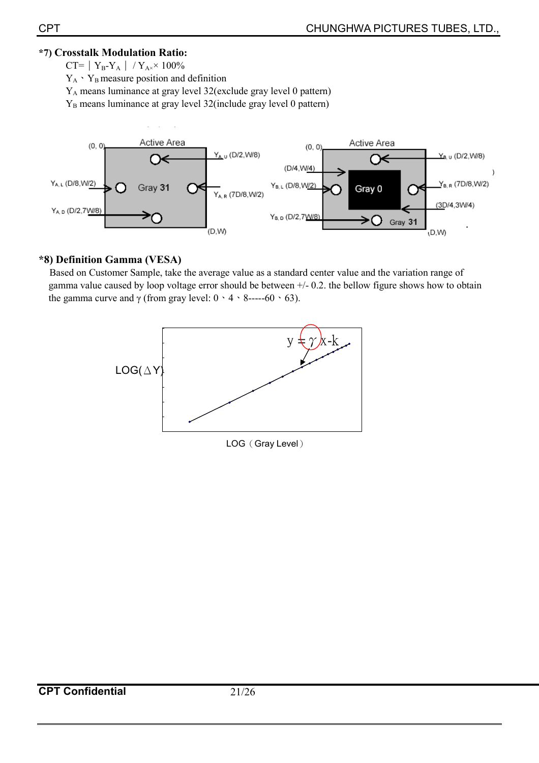### **\*7) Crosstalk Modulation Ratio:**

 $CT=|Y_B-Y_A| / Y_{A} \times 100\%$ 

 $Y_A \cdot Y_B$  measure position and definition

YA means luminance at gray level 32(exclude gray level 0 pattern)

Y<sub>B</sub> means luminance at gray level 32(include gray level 0 pattern)



### **\*8) Definition Gamma (VESA)**

Based on Customer Sample, take the average value as a standard center value and the variation range of gamma value caused by loop voltage error should be between +/- 0.2. the bellow figure shows how to obtain the gamma curve and  $\gamma$  (from gray level:  $0 \cdot 4 \cdot 8$ -----60  $\cdot 63$ ).

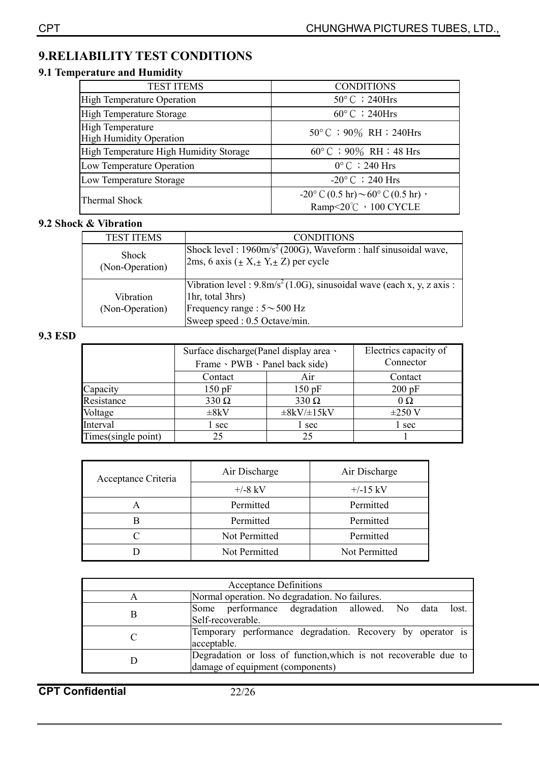### **9.RELIABILITY TEST CONDITIONS**

### **9.1 Temperature and Humidity**

| <b>TEST ITEMS</b>                                         | <b>CONDITIONS</b>                                                             |  |
|-----------------------------------------------------------|-------------------------------------------------------------------------------|--|
| <b>High Temperature Operation</b>                         | $50^{\circ}$ C ; 240Hrs                                                       |  |
| <b>High Temperature Storage</b>                           | $60^{\circ}$ C ; 240Hrs                                                       |  |
| <b>High Temperature</b><br><b>High Humidity Operation</b> | $50^{\circ}$ C ; 90% RH ; 240Hrs                                              |  |
| High Temperature High Humidity Storage                    | $60^{\circ}$ C ; 90% RH ; 48 Hrs                                              |  |
| Low Temperature Operation                                 | $0^{\circ}$ C $\div$ 240 Hrs                                                  |  |
| Low Temperature Storage                                   | $-20^{\circ}$ C ; 240 Hrs                                                     |  |
| Thermal Shock                                             | $-20^{\circ}$ C (0.5 hr) $\sim$ 60° C (0.5 hr) $\cdot$<br>Ramp<20℃, 100 CYCLE |  |

#### **9.2 Shock & Vibration**

| <b>TEST ITEMS</b>               | <b>CONDITIONS</b>                                                                                                                                                                    |
|---------------------------------|--------------------------------------------------------------------------------------------------------------------------------------------------------------------------------------|
| <b>Shock</b><br>(Non-Operation) | Shock level : $1960 \text{m/s}^2$ (200G), Waveform : half sinusoidal wave,<br>2ms, 6 axis ( $\pm$ X, $\pm$ Y, $\pm$ Z) per cycle                                                     |
| Vibration<br>(Non-Operation)    | Vibration level : $9.8 \text{m/s}^2 (1.0 \text{G})$ , sinusoidal wave (each x, y, z axis :<br>1hr, total 3hrs)<br>Frequency range : $5 \sim 500$ Hz<br>Sweep speed : 0.5 Octave/min. |

#### **9.3 ESD**

|                     | Surface discharge (Panel display area $\cdot$<br>Frame · PWB · Panel back side) |                    | Electrics capacity of<br>Connector |
|---------------------|---------------------------------------------------------------------------------|--------------------|------------------------------------|
|                     | Contact                                                                         | Air                | Contact                            |
| Capacity            | 150 pF                                                                          | 150 pF             | 200 pF                             |
| Resistance          | $330 \Omega$                                                                    | $330 \Omega$       | $0\Omega$                          |
| Voltage             | $\pm 8kV$                                                                       | $\pm 8kV/\pm 15kV$ | $\pm 250$ V                        |
| Interval            | l sec                                                                           | l sec              | l sec                              |
| Times(single point) | 25                                                                              | 25                 |                                    |

| Acceptance Criteria | Air Discharge | Air Discharge |  |
|---------------------|---------------|---------------|--|
|                     | $+/-8$ kV     | $+/-15$ kV    |  |
|                     | Permitted     | Permitted     |  |
|                     | Permitted     | Permitted     |  |
|                     | Not Permitted | Permitted     |  |
|                     | Not Permitted | Not Permitted |  |

| <b>Acceptance Definitions</b> |                                                                                                      |  |  |  |  |
|-------------------------------|------------------------------------------------------------------------------------------------------|--|--|--|--|
|                               | Normal operation. No degradation. No failures.                                                       |  |  |  |  |
| В                             | Some performance degradation allowed. No data<br>lost.<br>Self-recoverable.                          |  |  |  |  |
|                               | Temporary performance degradation. Recovery by operator is<br>acceptable.                            |  |  |  |  |
|                               | Degradation or loss of function, which is not recoverable due to<br>damage of equipment (components) |  |  |  |  |

**CPT Confidential** 22/26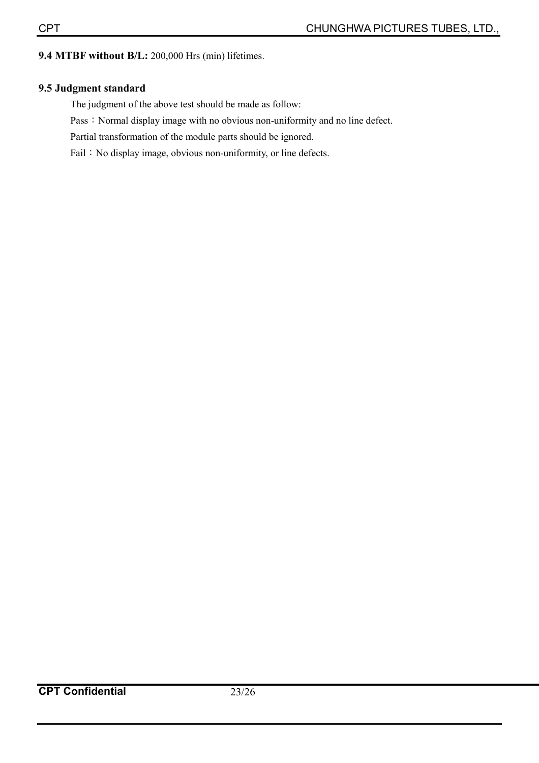### **9.4 MTBF without B/L:** 200,000 Hrs (min) lifetimes.

### **9.5 Judgment standard**

The judgment of the above test should be made as follow:

Pass: Normal display image with no obvious non-uniformity and no line defect.

Partial transformation of the module parts should be ignored.

Fail: No display image, obvious non-uniformity, or line defects.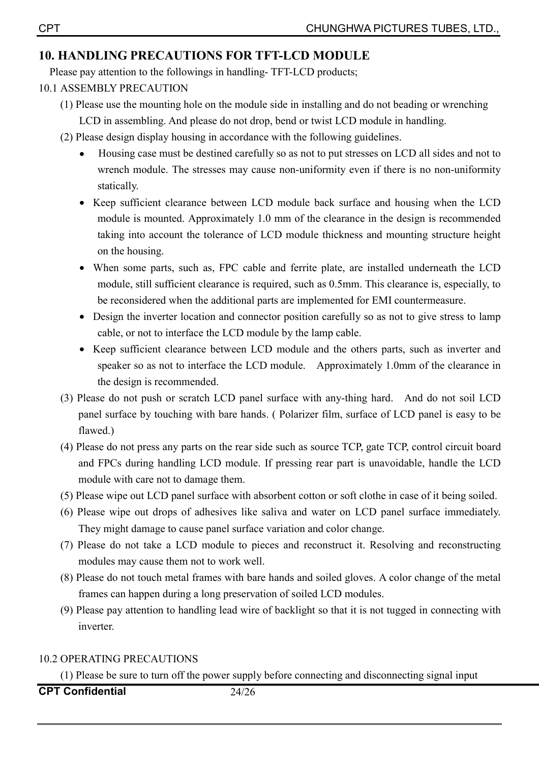### **10. HANDLING PRECAUTIONS FOR TFT-LCD MODULE**

Please pay attention to the followings in handling- TFT-LCD products;

- 10.1 ASSEMBLY PRECAUTION
	- (1) Please use the mounting hole on the module side in installing and do not beading or wrenching LCD in assembling. And please do not drop, bend or twist LCD module in handling.
	- (2) Please design display housing in accordance with the following guidelines.
		- Housing case must be destined carefully so as not to put stresses on LCD all sides and not to wrench module. The stresses may cause non-uniformity even if there is no non-uniformity statically.
		- Keep sufficient clearance between LCD module back surface and housing when the LCD module is mounted. Approximately 1.0 mm of the clearance in the design is recommended taking into account the tolerance of LCD module thickness and mounting structure height on the housing.
		- When some parts, such as, FPC cable and ferrite plate, are installed underneath the LCD module, still sufficient clearance is required, such as 0.5mm. This clearance is, especially, to be reconsidered when the additional parts are implemented for EMI countermeasure.
		- Design the inverter location and connector position carefully so as not to give stress to lamp cable, or not to interface the LCD module by the lamp cable.
		- Keep sufficient clearance between LCD module and the others parts, such as inverter and speaker so as not to interface the LCD module. Approximately 1.0mm of the clearance in the design is recommended.
	- (3) Please do not push or scratch LCD panel surface with any-thing hard. And do not soil LCD panel surface by touching with bare hands. ( Polarizer film, surface of LCD panel is easy to be flawed.)
	- (4) Please do not press any parts on the rear side such as source TCP, gate TCP, control circuit board and FPCs during handling LCD module. If pressing rear part is unavoidable, handle the LCD module with care not to damage them.
	- (5) Please wipe out LCD panel surface with absorbent cotton or soft clothe in case of it being soiled.
	- (6) Please wipe out drops of adhesives like saliva and water on LCD panel surface immediately. They might damage to cause panel surface variation and color change.
	- (7) Please do not take a LCD module to pieces and reconstruct it. Resolving and reconstructing modules may cause them not to work well.
	- (8) Please do not touch metal frames with bare hands and soiled gloves. A color change of the metal frames can happen during a long preservation of soiled LCD modules.
	- (9) Please pay attention to handling lead wire of backlight so that it is not tugged in connecting with inverter.

### 10.2 OPERATING PRECAUTIONS

(1) Please be sure to turn off the power supply before connecting and disconnecting signal input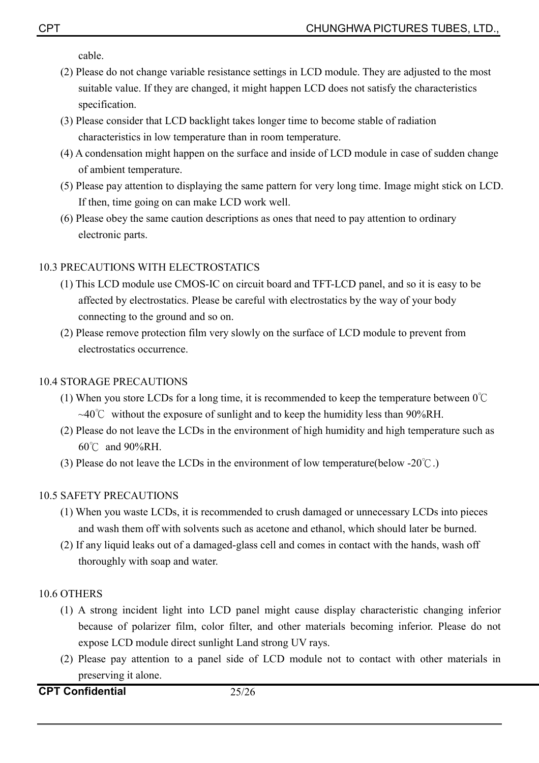cable.

- (2) Please do not change variable resistance settings in LCD module. They are adjusted to the most suitable value. If they are changed, it might happen LCD does not satisfy the characteristics specification.
- (3) Please consider that LCD backlight takes longer time to become stable of radiation characteristics in low temperature than in room temperature.
- (4) A condensation might happen on the surface and inside of LCD module in case of sudden change of ambient temperature.
- (5) Please pay attention to displaying the same pattern for very long time. Image might stick on LCD. If then, time going on can make LCD work well.
- (6) Please obey the same caution descriptions as ones that need to pay attention to ordinary electronic parts.

### 10.3 PRECAUTIONS WITH ELECTROSTATICS

- (1) This LCD module use CMOS-IC on circuit board and TFT-LCD panel, and so it is easy to be affected by electrostatics. Please be careful with electrostatics by the way of your body connecting to the ground and so on.
- (2) Please remove protection film very slowly on the surface of LCD module to prevent from electrostatics occurrence.

#### 10.4 STORAGE PRECAUTIONS

- (1) When you store LCDs for a long time, it is recommended to keep the temperature between  $0^{\circ}$ C  $\sim$ 40°C without the exposure of sunlight and to keep the humidity less than 90%RH.
- (2) Please do not leave the LCDs in the environment of high humidity and high temperature such as  $60^{\circ}$ C and  $90\%$ RH.
- (3) Please do not leave the LCDs in the environment of low temperature(below -20 $\degree$ C.)

#### 10.5 SAFETY PRECAUTIONS

- (1) When you waste LCDs, it is recommended to crush damaged or unnecessary LCDs into pieces and wash them off with solvents such as acetone and ethanol, which should later be burned.
- (2) If any liquid leaks out of a damaged-glass cell and comes in contact with the hands, wash off thoroughly with soap and water.

#### 10.6 OTHERS

- (1) A strong incident light into LCD panel might cause display characteristic changing inferior because of polarizer film, color filter, and other materials becoming inferior. Please do not expose LCD module direct sunlight Land strong UV rays.
- (2) Please pay attention to a panel side of LCD module not to contact with other materials in preserving it alone.